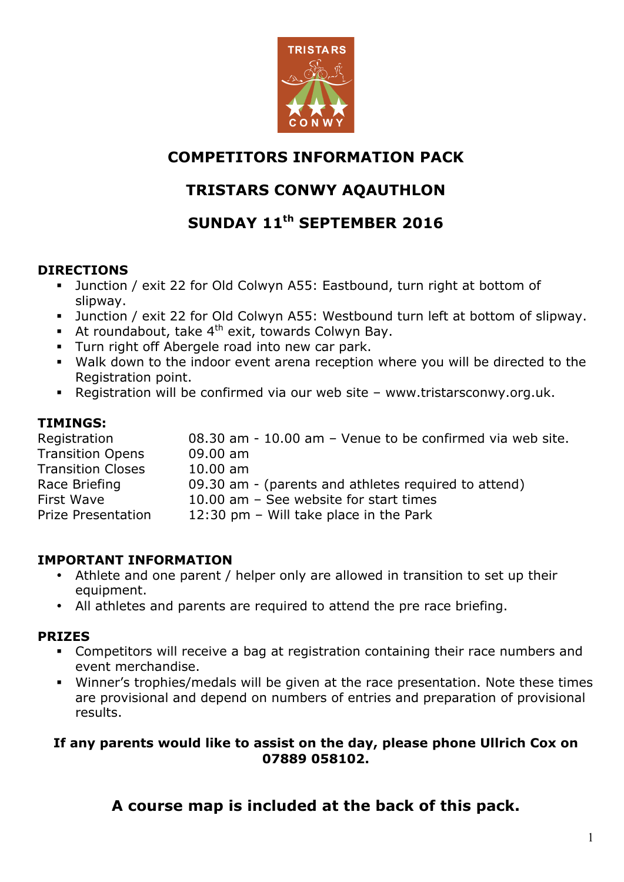

## **COMPETITORS INFORMATION PACK**

# **TRISTARS CONWY AQAUTHLON**

# **SUNDAY 11th SEPTEMBER 2016**

## **DIRECTIONS**

- Junction / exit 22 for Old Colwyn A55: Eastbound, turn right at bottom of slipway.
- Junction / exit 22 for Old Colwyn A55: Westbound turn left at bottom of slipway.
- **•** At roundabout, take  $4^{th}$  exit, towards Colwyn Bay.
- § Turn right off Abergele road into new car park.
- § Walk down to the indoor event arena reception where you will be directed to the Registration point.
- § Registration will be confirmed via our web site www.tristarsconwy.org.uk.

## **TIMINGS:**

| 08.30 am - 10.00 am - Venue to be confirmed via web site. |
|-----------------------------------------------------------|
| $09.00$ am                                                |
| $10.00$ am                                                |
| 09.30 am - (parents and athletes required to attend)      |
| 10.00 am - See website for start times                    |
| 12:30 pm $-$ Will take place in the Park                  |
|                                                           |

## **IMPORTANT INFORMATION**

- Athlete and one parent / helper only are allowed in transition to set up their equipment.
- All athletes and parents are required to attend the pre race briefing.

## **PRIZES**

- § Competitors will receive a bag at registration containing their race numbers and event merchandise.
- § Winner's trophies/medals will be given at the race presentation. Note these times are provisional and depend on numbers of entries and preparation of provisional results.

### **If any parents would like to assist on the day, please phone Ullrich Cox on 07889 058102.**

**A course map is included at the back of this pack.**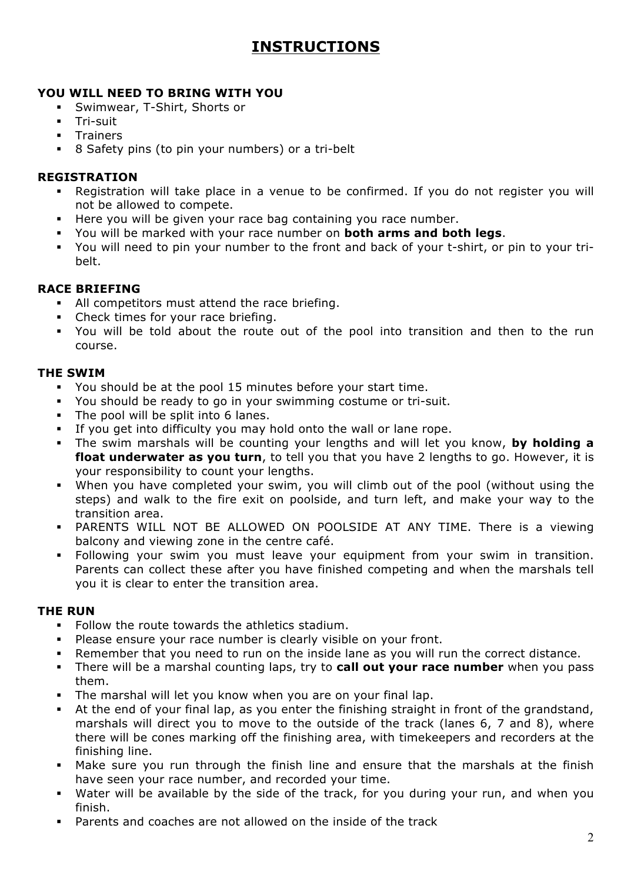# **INSTRUCTIONS**

#### **YOU WILL NEED TO BRING WITH YOU**

- § Swimwear, T-Shirt, Shorts or
- § Tri-suit
- § Trainers
- § 8 Safety pins (to pin your numbers) or a tri-belt

#### **REGISTRATION**

- § Registration will take place in a venue to be confirmed. If you do not register you will not be allowed to compete.
- **EXTER** Here you will be given your race bag containing you race number.
- § You will be marked with your race number on **both arms and both legs**.
- You will need to pin your number to the front and back of your t-shirt, or pin to your tribelt.

### **RACE BRIEFING**

- All competitors must attend the race briefing.
- Check times for your race briefing.
- § You will be told about the route out of the pool into transition and then to the run course.

#### **THE SWIM**

- § You should be at the pool 15 minutes before your start time.
- § You should be ready to go in your swimming costume or tri-suit.
- The pool will be split into 6 lanes.
- If you get into difficulty you may hold onto the wall or lane rope.
- § The swim marshals will be counting your lengths and will let you know, **by holding a float underwater as you turn**, to tell you that you have 2 lengths to go. However, it is your responsibility to count your lengths.
- § When you have completed your swim, you will climb out of the pool (without using the steps) and walk to the fire exit on poolside, and turn left, and make your way to the transition area.
- § PARENTS WILL NOT BE ALLOWED ON POOLSIDE AT ANY TIME. There is a viewing balcony and viewing zone in the centre café.
- Following your swim you must leave your equipment from your swim in transition. Parents can collect these after you have finished competing and when the marshals tell you it is clear to enter the transition area.

#### **THE RUN**

- § Follow the route towards the athletics stadium.
- § Please ensure your race number is clearly visible on your front.
- Remember that you need to run on the inside lane as you will run the correct distance.
- § There will be a marshal counting laps, try to **call out your race number** when you pass them.
- The marshal will let you know when you are on your final lap.
- At the end of your final lap, as you enter the finishing straight in front of the grandstand, marshals will direct you to move to the outside of the track (lanes 6, 7 and 8), where there will be cones marking off the finishing area, with timekeepers and recorders at the finishing line.
- § Make sure you run through the finish line and ensure that the marshals at the finish have seen your race number, and recorded your time.
- § Water will be available by the side of the track, for you during your run, and when you finish.
- § Parents and coaches are not allowed on the inside of the track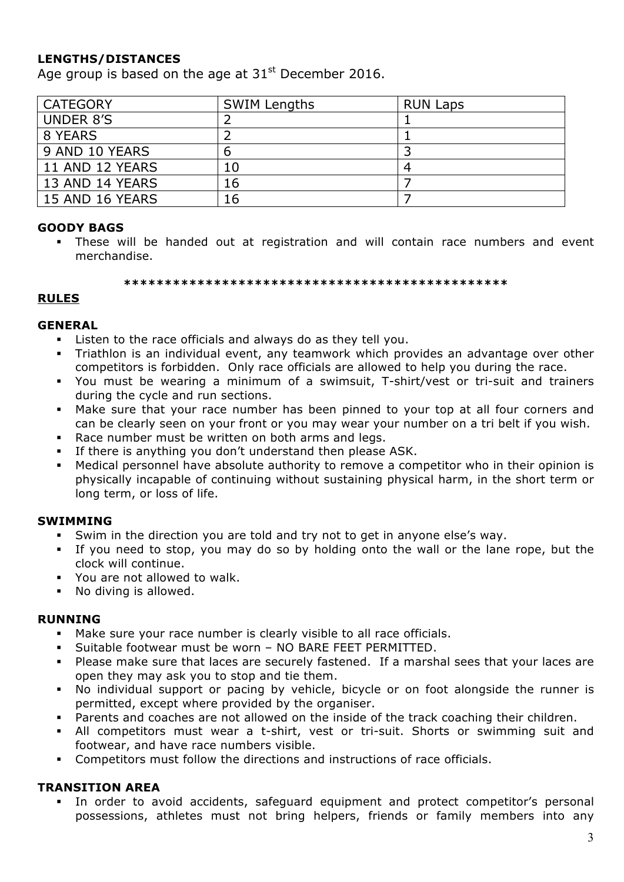### **LENGTHS/DISTANCES**

Age group is based on the age at  $31<sup>st</sup>$  December 2016.

| <b>CATEGORY</b>  | <b>SWIM Lengths</b> | <b>RUN Laps</b> |
|------------------|---------------------|-----------------|
| <b>UNDER 8'S</b> |                     |                 |
| 8 YEARS          |                     |                 |
| 9 AND 10 YEARS   | b                   |                 |
| 11 AND 12 YEARS  | 10                  | 4               |
| 13 AND 14 YEARS  | 16                  |                 |
| 15 AND 16 YEARS  | 16                  |                 |

#### **GOODY BAGS**

§ These will be handed out at registration and will contain race numbers and event merchandise.

**\*\*\*\*\*\*\*\*\*\*\*\*\*\*\*\*\*\*\*\*\*\*\*\*\*\*\*\*\*\*\*\*\*\*\*\*\*\*\*\*\*\*\*\*\*\*\***

#### **RULES**

#### **GENERAL**

- Listen to the race officials and always do as they tell you.
- § Triathlon is an individual event, any teamwork which provides an advantage over other competitors is forbidden. Only race officials are allowed to help you during the race.
- § You must be wearing a minimum of a swimsuit, T-shirt/vest or tri-suit and trainers during the cycle and run sections.
- § Make sure that your race number has been pinned to your top at all four corners and can be clearly seen on your front or you may wear your number on a tri belt if you wish.
- Race number must be written on both arms and legs.
- If there is anything you don't understand then please ASK.
- Medical personnel have absolute authority to remove a competitor who in their opinion is physically incapable of continuing without sustaining physical harm, in the short term or long term, or loss of life.

#### **SWIMMING**

- § Swim in the direction you are told and try not to get in anyone else's way.
- § If you need to stop, you may do so by holding onto the wall or the lane rope, but the clock will continue.
- You are not allowed to walk.
- No diving is allowed.

#### **RUNNING**

- Make sure your race number is clearly visible to all race officials.
- Suitable footwear must be worn NO BARE FEET PERMITTED.
- § Please make sure that laces are securely fastened. If a marshal sees that your laces are open they may ask you to stop and tie them.
- No individual support or pacing by vehicle, bicycle or on foot alongside the runner is permitted, except where provided by the organiser.
- § Parents and coaches are not allowed on the inside of the track coaching their children.
- § All competitors must wear a t-shirt, vest or tri-suit. Shorts or swimming suit and footwear, and have race numbers visible.
- § Competitors must follow the directions and instructions of race officials.

#### **TRANSITION AREA**

§ In order to avoid accidents, safeguard equipment and protect competitor's personal possessions, athletes must not bring helpers, friends or family members into any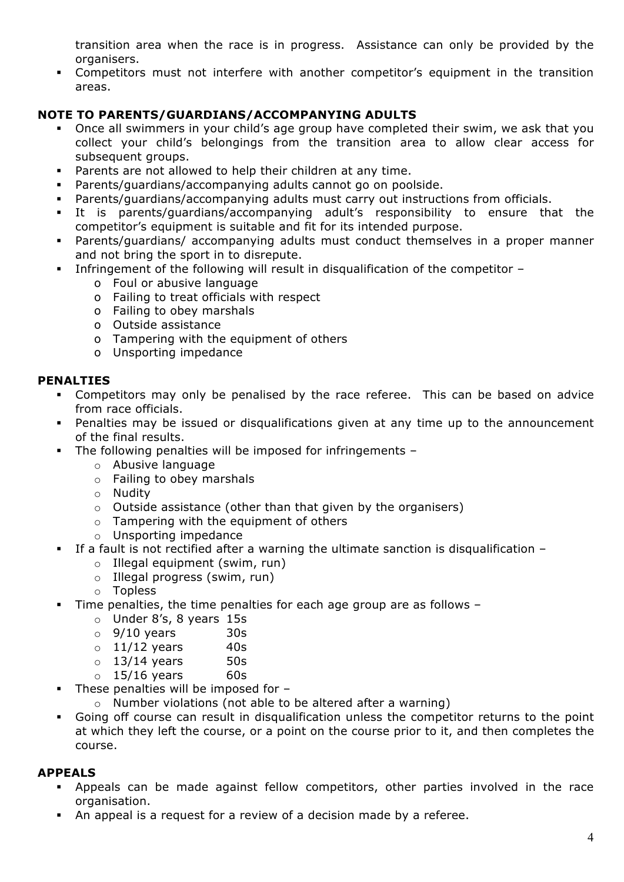transition area when the race is in progress. Assistance can only be provided by the organisers.

• Competitors must not interfere with another competitor's equipment in the transition areas.

#### **NOTE TO PARENTS/GUARDIANS/ACCOMPANYING ADULTS**

- Once all swimmers in your child's age group have completed their swim, we ask that you collect your child's belongings from the transition area to allow clear access for subsequent groups.
- Parents are not allowed to help their children at any time.
- § Parents/guardians/accompanying adults cannot go on poolside.
- § Parents/guardians/accompanying adults must carry out instructions from officials.
- § It is parents/guardians/accompanying adult's responsibility to ensure that the competitor's equipment is suitable and fit for its intended purpose.
- Parents/guardians/ accompanying adults must conduct themselves in a proper manner and not bring the sport in to disrepute.
- Infringement of the following will result in disqualification of the competitor
	- o Foul or abusive language
	- o Failing to treat officials with respect
	- o Failing to obey marshals
	- o Outside assistance
	- o Tampering with the equipment of others
	- o Unsporting impedance

#### **PENALTIES**

- § Competitors may only be penalised by the race referee. This can be based on advice from race officials.
- Solleh Penalties may be issued or disqualifications given at any time up to the announcement of the final results.
- The following penalties will be imposed for infringements
	- o Abusive language
	- o Failing to obey marshals
	- o Nudity
	- o Outside assistance (other than that given by the organisers)
	- o Tampering with the equipment of others
	- o Unsporting impedance
- If a fault is not rectified after a warning the ultimate sanction is disqualification
	- o Illegal equipment (swim, run)
	- o Illegal progress (swim, run)
	- o Topless
- Time penalties, the time penalties for each age group are as follows
	- o Under 8's, 8 years 15s
	- $\circ$  9/10 years 30s
	- $\circ$  11/12 years 40s
	- $\circ$  13/14 years 50s
	- $\circ$  15/16 years 60s
- § These penalties will be imposed for
	- o Number violations (not able to be altered after a warning)
- § Going off course can result in disqualification unless the competitor returns to the point at which they left the course, or a point on the course prior to it, and then completes the course.

#### **APPEALS**

- § Appeals can be made against fellow competitors, other parties involved in the race organisation.
- An appeal is a request for a review of a decision made by a referee.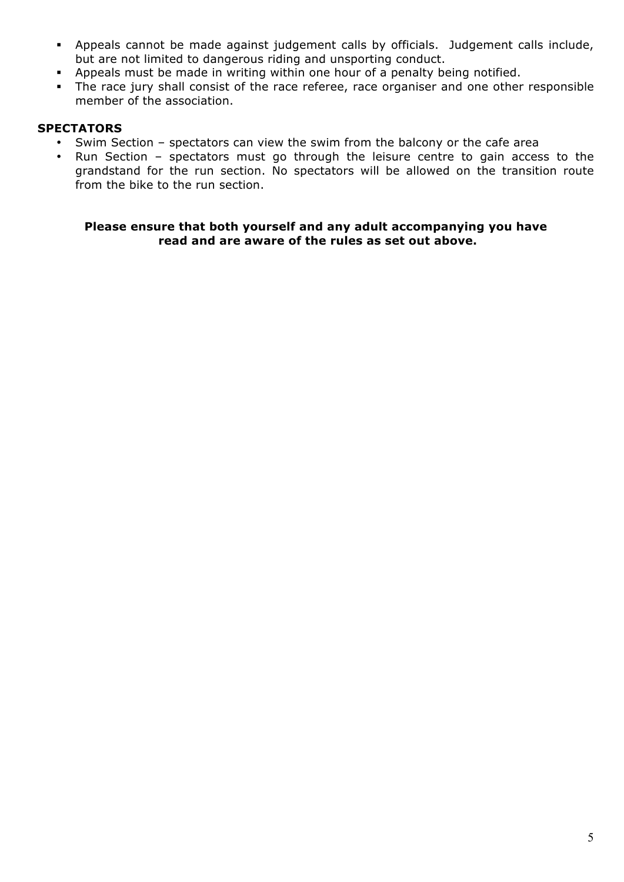- § Appeals cannot be made against judgement calls by officials. Judgement calls include, but are not limited to dangerous riding and unsporting conduct.
- § Appeals must be made in writing within one hour of a penalty being notified.
- The race jury shall consist of the race referee, race organiser and one other responsible member of the association.

#### **SPECTATORS**

- Swim Section spectators can view the swim from the balcony or the cafe area
- Run Section spectators must go through the leisure centre to gain access to the grandstand for the run section. No spectators will be allowed on the transition route from the bike to the run section.

**Please ensure that both yourself and any adult accompanying you have read and are aware of the rules as set out above.**